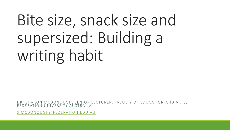# Bite size, snack size and supersized: Building a writing habit

DR. SHARON MCDONOUGH, SENIOR LECTURER, FACULTY OF EDUCATION AND ARTS, FEDERATION UNIVERSITY AUSTRALIA

[S.MCDONOUGH@FEDERATION.EDU.AU](mailto:s.mcdonough@federation.edu.au)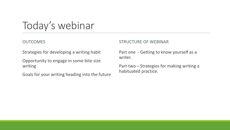Today's webinar

#### OUTCOMES

Strategies for developing a writing habit

Opportunity to engage in some bite size writing

Goals for your writing heading into the future

#### STRUCTURE OF WEBINAR

Part one - Getting to know yourself as a writer.

Part two – Strategies for making writing a habituated practice.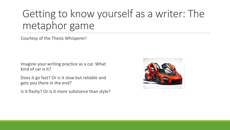## Getting to know yourself as a writer: The metaphor game

Courtesy of the Thesis Whisperer!

Imagine your writing practice as a car. What kind of car is it?

Does it go fast? Or is it slow but reliable and gets you there in the end?

Is it flashy? Or is it more substance than style?

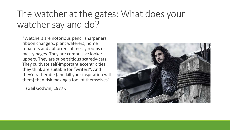#### The watcher at the gates: What does your watcher say and do?

"Watchers are notorious pencil sharpeners, ribbon changers, plant waterers, home repairers and abhorrers of messy rooms or messy pages. They are compulsive lookeruppers. They are superstitious scaredy-cats. They cultivate self-important eccentricities they think are suitable for "writers". And they'd rather die (and kill your inspiration with them) than risk making a fool of themselves".

(Gail Godwin, 1977).

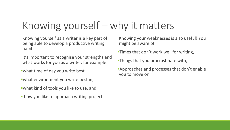# Knowing yourself – why it matters

Knowing yourself as a writer is a key part of being able to develop a productive writing habit.

It's important to recognise your strengths and what works for you as a writer, for example:

what time of day you write best,

- what environment you write best in,
- what kind of tools you like to use, and
- **how you like to approach writing projects.**

Knowing your weaknesses is also useful! You might be aware of:

- **Times that don't work well for writing,**
- **Things that you procrastinate with,**
- **Approaches and processes that don't enable** you to move on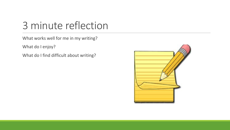### 3 minute reflection

What works well for me in my writing?

What do I enjoy?

What do I find difficult about writing?

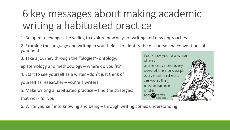# 6 key messages about making academic writing a habituated practice

1. Be open to change – be willing to explore new ways of writing and new approaches

2. Examine the language and writing in your field – to identify the discourse and conventions of your field

3. Take a journey through the "ologies"- ontology,

epistemology and methodology – where do you fit?

4. Start to see yourself as a writer –don't just think of yourself as researcher – you're a writer!

5. Make writing a habituated practice – find the strategies that work for you

6. Write yourself into knowing and being – through writing comes understanding

You know you're a writer when... you're convinced every word of the manuscript you've just finished is the worst thing anyone has ever written. somedcards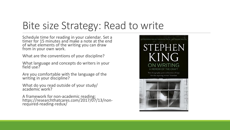### Bite size Strategy: Read to write

Schedule time for reading in your calendar. Set a timer for 15 minutes and make a note at the end of what elements of the writing you can draw from in your own work.

What are the conventions of your discipline?

What language and concepts do writers in your field use?

Are you comfortable with the language of the writing in your discipline?

What do you read outside of your study/ academic work?

A framework for non-academic reading: https://researchthatcares.com/2017/07/13/non- required-reading-redux/

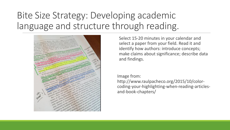#### Bite Size Strategy: Developing academic language and structure through reading.



Select 15-20 minutes in your calendar and select a paper from your field. Read it and identify how authors: introduce concepts; make claims about significance; describe data and findings.

#### Image from:

http://www.raulpacheco.org/2015/10/colorcoding-your-highlighting-when-reading-articlesand-book-chapters/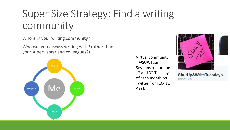### Super Size Strategy: Find a writing community

Who is in your writing community?

Who can you discuss writing with? (other than your supervisors/ and colleagues?)



Virtual community - @SUWTues: Sessions run on the 1<sup>st</sup> and 3<sup>rd</sup> Tuesday of each month on Twitter from 10- 11 AEST.



ShutUp&WriteTuesdays @SUWTues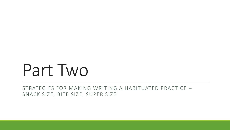# Part Two

STRATEGIES FOR MAKING WRITING A HABITUATED PRACTICE – SNACK SIZE, BITE SIZE, SUPER SIZE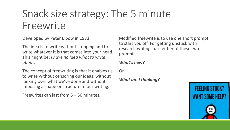### Snack size strategy: The 5 minute Freewrite

Developed by Peter Elbow in 1973.

The idea is to write without stopping and to write whatever it is that comes into your head. This might be: *I have no idea what to write about!* 

The concept of freewriting is that it enables us to write without censoring our ideas, without looking over what we've done and without imposing a shape or structure to our writing.

Freewrites can last from 5 – 30 minutes.

Modified freewrite is to use one short prompt to start you off. For getting unstuck with research writing I use either of these two prompts:

#### *What's new?*

Or

*What am I thinking?* 

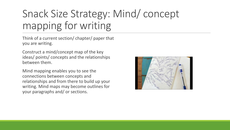# Snack Size Strategy: Mind/ concept mapping for writing

Think of a current section/ chapter/ paper that you are writing.

Construct a mind/concept map of the key ideas/ points/ concepts and the relationships between them.

Mind mapping enables you to see the connections between concepts and relationships and from there to build up your writing. Mind maps may become outlines for your paragraphs and/ or sections.

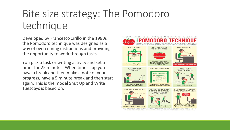## Bite size strategy: The Pomodoro technique

Developed by Francesco Cirillo in the 1980s the Pomodoro technique was designed as a way of overcoming distractions and providing the opportunity to work through tasks.

You pick a task or writing activity and set a timer for 25 minutes. When time is up you have a break and then make a note of your progress, have a 5 minute break and then start again. This is the model Shut Up and Write Tuesdays is based on.

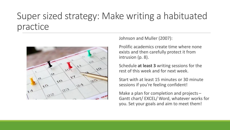#### Super sized strategy: Make writing a habituated practice



Johnson and Muller (2007):

Prolific academics create time where none exists and then carefully protect it from intrusion (p. 8).

Schedule **at least 3** writing sessions for the rest of this week and for next week.

Start with at least 15 minutes or 30 minute sessions if you're feeling confident!

Make a plan for completion and projects – Gantt chart/ EXCEL/ Word, whatever works for you. Set your goals and aim to meet them!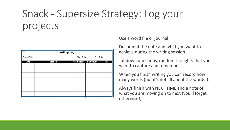### Snack - Supersize Strategy: Log your projects

| <b>SHIPS CO</b><br><b>Writing Log</b> |                |                              |  |                                   |  |
|---------------------------------------|----------------|------------------------------|--|-----------------------------------|--|
| Project Title                         |                |                              |  | Start Date _________ End Date ___ |  |
| <b>Date</b>                           | <b>Section</b> | <b>Start Count</b> End Count |  | <b>Total</b>                      |  |
|                                       |                |                              |  |                                   |  |
|                                       |                |                              |  |                                   |  |
|                                       |                |                              |  |                                   |  |
|                                       |                |                              |  |                                   |  |
|                                       |                |                              |  |                                   |  |
|                                       |                |                              |  |                                   |  |
|                                       |                |                              |  |                                   |  |

#### Use a word file or journal

Document the date and what you want to achieve during the writing session.

Jot down questions, random thoughts that you want to capture and remember.

When you finish writing you can record how many words (but it's not all about the words!).

Always finish with NEXT TIME and a note of what you are moving on to next (you'll forget otherwise!).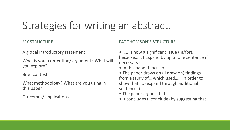### Strategies for writing an abstract.

#### MY STRUCTURE

#### PAT THOMSON'S STRUCTURE

A global introductory statement

What is your contention/ argument? What will you explore?

Brief context

What methodology? What are you using in this paper?

Outcomes/ implications…

• ..... is now a significant issue (in/for).. because…. . ( Expand by up to one sentence if necessary)

• In this paper I focus on .....

• The paper draws on ( I draw on) findings from a study of… which used…… in order to show that….. (expand through additional sentences)

- The paper argues that….
- It concludes (I conclude) by suggesting that…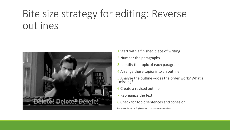### Bite size strategy for editing: Reverse outlines



- 1.Start with a finished piece of writing
- 2.Number the paragraphs
- 3.Identify the topic of each paragraph
- 4.Arrange these topics into an outline
- 5.Analyze the outline –does the order work? What's missing?
- 6.Create a revised outline
- 7.Reorganize the text
- 8.Check for topic sentences and cohesion

https://explorationsofstyle.com/2011/02/09/reverse-outlines/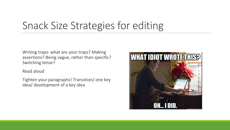## Snack Size Strategies for editing

Writing traps- what are your traps? Making assertions? Being vague, rather than specific? Switching tense?

Read aloud

Tighten your paragraphs! Transition/ one key idea/ development of a key idea

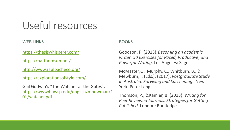### Useful resources

#### WEB LINKS

<https://thesiswhisperer.com/>

<https://patthomson.net/>

<http://www.raulpacheco.org/>

<https://explorationsofstyle.com/>

Gail Godwin's "The Watcher at the Gates": [https://www4.uwsp.edu/english/mbowman/1](https://www4.uwsp.edu/english/mbowman/101/watcher.pdf) 01/watcher.pdf

#### BOOKS

Goodson, P. (2013). *Becoming an academic writer: 50 Exercises for Paced, Productive, and Powerful Writing.* Los Angeles: Sage.

McMaster,C., Murphy, C., Whitburn, B., & Mewburn, I. (Eds.). (2017). *Postgraduate Study in Australia: Surviving and Succeeding.* New York: Peter Lang.

Thomson, P., & Kamler, B. (2013). *Writing for Peer Reviewed Journals: Strategies for Getting Published.* London: Routledge.